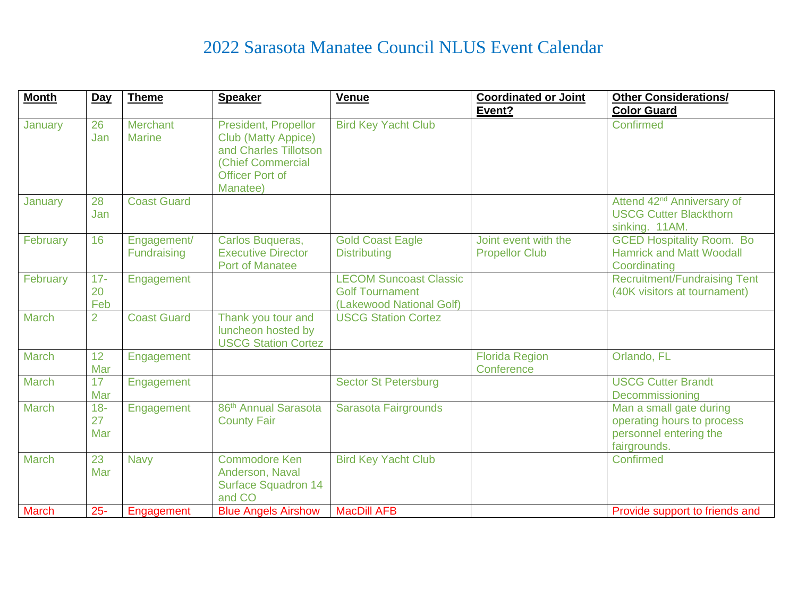## 2022 Sarasota Manatee Council NLUS Event Calendar

| <b>Month</b> | $Day$               | <b>Theme</b>                     | <b>Speaker</b>                                                                                                                         | Venue                                                                               | <b>Coordinated or Joint</b>                   | <b>Other Considerations/</b>                                                                    |
|--------------|---------------------|----------------------------------|----------------------------------------------------------------------------------------------------------------------------------------|-------------------------------------------------------------------------------------|-----------------------------------------------|-------------------------------------------------------------------------------------------------|
|              |                     |                                  |                                                                                                                                        |                                                                                     | Event?                                        | <b>Color Guard</b>                                                                              |
| January      | 26<br>Jan           | <b>Merchant</b><br><b>Marine</b> | President, Propellor<br><b>Club (Matty Appice)</b><br>and Charles Tillotson<br>(Chief Commercial<br><b>Officer Port of</b><br>Manatee) | <b>Bird Key Yacht Club</b>                                                          |                                               | Confirmed                                                                                       |
| January      | 28<br>Jan           | <b>Coast Guard</b>               |                                                                                                                                        |                                                                                     |                                               | Attend 42 <sup>nd</sup> Anniversary of<br><b>USCG Cutter Blackthorn</b><br>sinking. 11AM.       |
| February     | 16                  | Engagement/<br>Fundraising       | Carlos Buqueras,<br><b>Executive Director</b><br><b>Port of Manatee</b>                                                                | <b>Gold Coast Eagle</b><br><b>Distributing</b>                                      | Joint event with the<br><b>Propellor Club</b> | <b>GCED Hospitality Room. Bo</b><br><b>Hamrick and Matt Woodall</b><br>Coordinating             |
| February     | $17 -$<br>20<br>Feb | Engagement                       |                                                                                                                                        | <b>LECOM Suncoast Classic</b><br><b>Golf Tournament</b><br>(Lakewood National Golf) |                                               | <b>Recruitment/Fundraising Tent</b><br>(40K visitors at tournament)                             |
| March        | $\overline{2}$      | <b>Coast Guard</b>               | Thank you tour and<br>luncheon hosted by<br><b>USCG Station Cortez</b>                                                                 | <b>USCG Station Cortez</b>                                                          |                                               |                                                                                                 |
| <b>March</b> | 12<br>Mar           | Engagement                       |                                                                                                                                        |                                                                                     | <b>Florida Region</b><br>Conference           | Orlando, FL                                                                                     |
| <b>March</b> | 17<br>Mar           | Engagement                       |                                                                                                                                        | <b>Sector St Petersburg</b>                                                         |                                               | <b>USCG Cutter Brandt</b><br>Decommissioning                                                    |
| March        | $18-$<br>27<br>Mar  | Engagement                       | 86 <sup>th</sup> Annual Sarasota<br><b>County Fair</b>                                                                                 | Sarasota Fairgrounds                                                                |                                               | Man a small gate during<br>operating hours to process<br>personnel entering the<br>fairgrounds. |
| <b>March</b> | 23<br>Mar           | <b>Navy</b>                      | <b>Commodore Ken</b><br>Anderson, Naval<br><b>Surface Squadron 14</b><br>and CO                                                        | <b>Bird Key Yacht Club</b>                                                          |                                               | Confirmed                                                                                       |
| <b>March</b> | $25 -$              | Engagement                       | <b>Blue Angels Airshow</b>                                                                                                             | <b>MacDill AFB</b>                                                                  |                                               | Provide support to friends and                                                                  |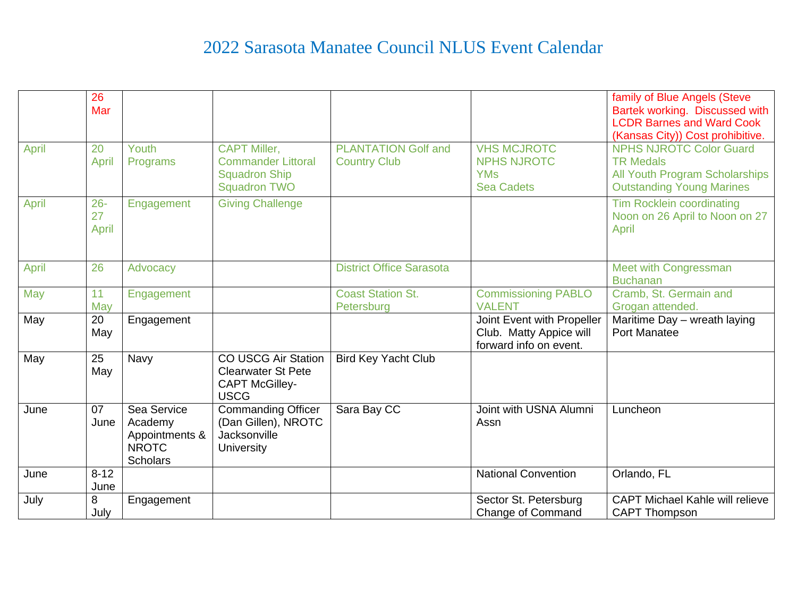## 2022 Sarasota Manatee Council NLUS Event Calendar

|       | 26       |                                |                           |                                 |                                                   | family of Blue Angels (Steve                                       |
|-------|----------|--------------------------------|---------------------------|---------------------------------|---------------------------------------------------|--------------------------------------------------------------------|
|       | Mar      |                                |                           |                                 |                                                   | Bartek working. Discussed with                                     |
|       |          |                                |                           |                                 |                                                   | <b>LCDR Barnes and Ward Cook</b>                                   |
| April | 20       | Youth                          | <b>CAPT Miller,</b>       | <b>PLANTATION Golf and</b>      | <b>VHS MCJROTC</b>                                | (Kansas City)) Cost prohibitive.<br><b>NPHS NJROTC Color Guard</b> |
|       | April    | Programs                       | <b>Commander Littoral</b> | <b>Country Club</b>             | <b>NPHS NJROTC</b>                                | <b>TR Medals</b>                                                   |
|       |          |                                | <b>Squadron Ship</b>      |                                 | <b>YMs</b>                                        | <b>All Youth Program Scholarships</b>                              |
|       |          |                                | <b>Squadron TWO</b>       |                                 | <b>Sea Cadets</b>                                 | <b>Outstanding Young Marines</b>                                   |
| April | $26 -$   | Engagement                     | <b>Giving Challenge</b>   |                                 |                                                   | Tim Rocklein coordinating                                          |
|       | 27       |                                |                           |                                 |                                                   | Noon on 26 April to Noon on 27                                     |
|       | April    |                                |                           |                                 |                                                   | April                                                              |
|       |          |                                |                           |                                 |                                                   |                                                                    |
| April | 26       | Advocacy                       |                           | <b>District Office Sarasota</b> |                                                   | Meet with Congressman                                              |
|       |          |                                |                           |                                 |                                                   | <b>Buchanan</b>                                                    |
| May   | 11       | Engagement                     |                           | <b>Coast Station St.</b>        | <b>Commissioning PABLO</b>                        | Cramb, St. Germain and                                             |
|       | May      |                                |                           | Petersburg                      | <b>VALENT</b>                                     | Grogan attended.                                                   |
| May   | 20       | Engagement                     |                           |                                 | Joint Event with Propeller                        | Maritime Day - wreath laying                                       |
|       | May      |                                |                           |                                 | Club. Matty Appice will<br>forward info on event. | <b>Port Manatee</b>                                                |
| May   | 25       | Navy                           | CO USCG Air Station       | <b>Bird Key Yacht Club</b>      |                                                   |                                                                    |
|       | May      |                                | <b>Clearwater St Pete</b> |                                 |                                                   |                                                                    |
|       |          |                                | <b>CAPT McGilley-</b>     |                                 |                                                   |                                                                    |
|       |          |                                | <b>USCG</b>               |                                 |                                                   |                                                                    |
| June  | 07       | Sea Service                    | <b>Commanding Officer</b> | Sara Bay CC                     | Joint with USNA Alumni                            | Luncheon                                                           |
|       | June     | Academy                        | (Dan Gillen), NROTC       |                                 | Assn                                              |                                                                    |
|       |          | Appointments &<br><b>NROTC</b> | Jacksonville              |                                 |                                                   |                                                                    |
|       |          | <b>Scholars</b>                | <b>University</b>         |                                 |                                                   |                                                                    |
| June  | $8 - 12$ |                                |                           |                                 | <b>National Convention</b>                        | Orlando, FL                                                        |
|       | June     |                                |                           |                                 |                                                   |                                                                    |
| July  | 8        | Engagement                     |                           |                                 | Sector St. Petersburg                             | <b>CAPT Michael Kahle will relieve</b>                             |
|       | July     |                                |                           |                                 | Change of Command                                 | <b>CAPT Thompson</b>                                               |